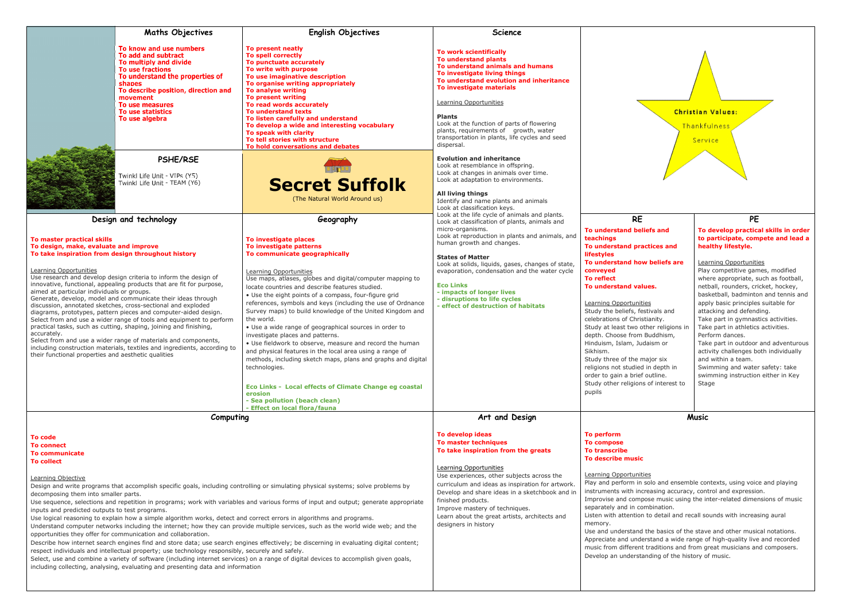|                                                                                                                                                                                                                                                                                                                                                                                                                                                                                                                                                                                                                                                                                                                                                                                                                                                                                                                                                                                                                                                                                                                                                                                                                                                                       | <b>Maths Objectives</b>                                                                                                                                                                                                                                | <b>English Objectives</b>                                                                                                                                                                                                                                                                                                                                                                                                                                                                                                                                                                                                                                                                                                                                                                                                                                                                                                                                                                                                                                                                                                                                                                                                                 | <b>Science</b>                                                                                                                                                                                                                                                                                                                                                                                 |                                                                                                                                                                                                                                                                                                                                                                                                                                                                                                      |
|-----------------------------------------------------------------------------------------------------------------------------------------------------------------------------------------------------------------------------------------------------------------------------------------------------------------------------------------------------------------------------------------------------------------------------------------------------------------------------------------------------------------------------------------------------------------------------------------------------------------------------------------------------------------------------------------------------------------------------------------------------------------------------------------------------------------------------------------------------------------------------------------------------------------------------------------------------------------------------------------------------------------------------------------------------------------------------------------------------------------------------------------------------------------------------------------------------------------------------------------------------------------------|--------------------------------------------------------------------------------------------------------------------------------------------------------------------------------------------------------------------------------------------------------|-------------------------------------------------------------------------------------------------------------------------------------------------------------------------------------------------------------------------------------------------------------------------------------------------------------------------------------------------------------------------------------------------------------------------------------------------------------------------------------------------------------------------------------------------------------------------------------------------------------------------------------------------------------------------------------------------------------------------------------------------------------------------------------------------------------------------------------------------------------------------------------------------------------------------------------------------------------------------------------------------------------------------------------------------------------------------------------------------------------------------------------------------------------------------------------------------------------------------------------------|------------------------------------------------------------------------------------------------------------------------------------------------------------------------------------------------------------------------------------------------------------------------------------------------------------------------------------------------------------------------------------------------|------------------------------------------------------------------------------------------------------------------------------------------------------------------------------------------------------------------------------------------------------------------------------------------------------------------------------------------------------------------------------------------------------------------------------------------------------------------------------------------------------|
|                                                                                                                                                                                                                                                                                                                                                                                                                                                                                                                                                                                                                                                                                                                                                                                                                                                                                                                                                                                                                                                                                                                                                                                                                                                                       | To know and use numbers<br>To add and subtract<br>To multiply and divide<br>To use fractions<br>To understand the properties of<br>shapes<br>To describe position, direction and<br>movement<br>To use measures<br>To use statistics<br>To use algebra | To present neatly<br><b>To spell correctly</b><br>To punctuate accurately<br>To write with purpose<br>To use imaginative description<br>To organise writing appropriately<br>To analyse writing<br>To present writing<br>To read words accurately<br><b>To understand texts</b><br>To listen carefully and understand<br>To develop a wide and interesting vocabulary<br>To speak with clarity<br>To tell stories with structure<br>To hold conversations and debates                                                                                                                                                                                                                                                                                                                                                                                                                                                                                                                                                                                                                                                                                                                                                                     | To work scientifically<br>To understand plants<br>To understand animals and humans<br>To investigate living things<br>To understand evolution and inheritance<br>To investigate materials<br>Learning Opportunities<br><b>Plants</b><br>Look at the function of parts of flowering<br>plants, requirements of growth, water<br>transportation in plants, life cycles and seed<br>dispersal.    |                                                                                                                                                                                                                                                                                                                                                                                                                                                                                                      |
|                                                                                                                                                                                                                                                                                                                                                                                                                                                                                                                                                                                                                                                                                                                                                                                                                                                                                                                                                                                                                                                                                                                                                                                                                                                                       | PSHE/RSE<br>Twinkl Life Unit - VIPs (Y5)<br>Twinkl Life Unit - TEAM (Y6)                                                                                                                                                                               | <b>Secret Suffolk</b><br>(The Natural World Around us)                                                                                                                                                                                                                                                                                                                                                                                                                                                                                                                                                                                                                                                                                                                                                                                                                                                                                                                                                                                                                                                                                                                                                                                    | <b>Evolution and inheritance</b><br>Look at resemblance in offspring.<br>Look at changes in animals over time.<br>Look at adaptation to environments.<br>All living things<br>Identify and name plants and animals<br>Look at classification keys.                                                                                                                                             |                                                                                                                                                                                                                                                                                                                                                                                                                                                                                                      |
| Design and technology                                                                                                                                                                                                                                                                                                                                                                                                                                                                                                                                                                                                                                                                                                                                                                                                                                                                                                                                                                                                                                                                                                                                                                                                                                                 |                                                                                                                                                                                                                                                        | Geography                                                                                                                                                                                                                                                                                                                                                                                                                                                                                                                                                                                                                                                                                                                                                                                                                                                                                                                                                                                                                                                                                                                                                                                                                                 | Look at the life cycle of animals and plants.<br>Look at classification of plants, animals and                                                                                                                                                                                                                                                                                                 | <b>RE</b>                                                                                                                                                                                                                                                                                                                                                                                                                                                                                            |
| To master practical skills<br>To design, make, evaluate and improve<br>To take inspiration from design throughout history<br>Learning Opportunities<br>Use research and develop design criteria to inform the design of<br>innovative, functional, appealing products that are fit for purpose,<br>aimed at particular individuals or groups.<br>Generate, develop, model and communicate their ideas through<br>discussion, annotated sketches, cross-sectional and exploded<br>diagrams, prototypes, pattern pieces and computer-aided design.<br>Select from and use a wider range of tools and equipment to perform<br>practical tasks, such as cutting, shaping, joining and finishing,<br>accurately.<br>Select from and use a wider range of materials and components,<br>including construction materials, textiles and ingredients, according to<br>their functional properties and aesthetic qualities                                                                                                                                                                                                                                                                                                                                                      |                                                                                                                                                                                                                                                        | micro-organisms.<br>Look at reproduction in plants and animals, and<br>To investigate places<br>human growth and changes.<br>To investigate patterns<br>To communicate geographically<br><b>States of Matter</b><br>Look at solids, liquids, gases, changes of state,<br>evaporation, condensation and the water cycle<br>Learning Opportunities<br>Use maps, atlases, globes and digital/computer mapping to<br><b>Eco Links</b><br>locate countries and describe features studied.<br>- impacts of longer lives<br>• Use the eight points of a compass, four-figure grid<br>- disruptions to life cycles<br>references, symbols and keys (including the use of Ordnance<br>- effect of destruction of habitats<br>Survey maps) to build knowledge of the United Kingdom and<br>the world.<br>• Use a wide range of geographical sources in order to<br>investigate places and patterns.<br>• Use fieldwork to observe, measure and record the human<br>and physical features in the local area using a range of<br>methods, including sketch maps, plans and graphs and digital<br>technologies.<br>Eco Links - Local effects of Climate Change eg coastal<br>erosion<br>- Sea pollution (beach clean)<br>- Effect on local flora/fauna |                                                                                                                                                                                                                                                                                                                                                                                                | <b>To understand beliefs</b><br>teachings<br><b>To understand practic</b><br><b>lifestyles</b><br>To understand how be<br>conveyed<br><b>To reflect</b><br>To understand values.<br>Learning Opportunities<br>Study the beliefs, festiva<br>celebrations of Christiani<br>Study at least two other<br>depth. Choose from Bud<br>Hinduism, Islam, Judaisr<br>Sikhism.<br>Study three of the major<br>religions not studied in d<br>order to gain a brief outl<br>Study other religions of i<br>pupils |
| Computing                                                                                                                                                                                                                                                                                                                                                                                                                                                                                                                                                                                                                                                                                                                                                                                                                                                                                                                                                                                                                                                                                                                                                                                                                                                             |                                                                                                                                                                                                                                                        |                                                                                                                                                                                                                                                                                                                                                                                                                                                                                                                                                                                                                                                                                                                                                                                                                                                                                                                                                                                                                                                                                                                                                                                                                                           | Art and Design                                                                                                                                                                                                                                                                                                                                                                                 |                                                                                                                                                                                                                                                                                                                                                                                                                                                                                                      |
| To code<br><b>To connect</b><br>To communicate<br><b>To collect</b><br>Learning Objective<br>Design and write programs that accomplish specific goals, including controlling or simulating physical systems; solve problems by<br>decomposing them into smaller parts.<br>Use sequence, selections and repetition in programs; work with variables and various forms of input and output; generate appropriate<br>inputs and predicted outputs to test programs.<br>Use logical reasoning to explain how a simple algorithm works, detect and correct errors in algorithms and programs.<br>Understand computer networks including the internet; how they can provide multiple services, such as the world wide web; and the<br>opportunities they offer for communication and collaboration.<br>Describe how internet search engines find and store data; use search engines effectively; be discerning in evaluating digital content;<br>respect individuals and intellectual property; use technology responsibly, securely and safely.<br>Select, use and combine a variety of software (including internet services) on a range of digital devices to accomplish given goals,<br>including collecting, analysing, evaluating and presenting data and information |                                                                                                                                                                                                                                                        |                                                                                                                                                                                                                                                                                                                                                                                                                                                                                                                                                                                                                                                                                                                                                                                                                                                                                                                                                                                                                                                                                                                                                                                                                                           | To develop ideas<br>To master techniques<br>To take inspiration from the greats<br>Learning Opportunities<br>Use experiences, other subjects across the<br>curriculum and ideas as inspiration for artwork.<br>Develop and share ideas in a sketchbook and in<br>finished products.<br>Improve mastery of techniques.<br>Learn about the great artists, architects and<br>designers in history | To perform<br><b>To compose</b><br><b>To transcribe</b><br><b>To describe music</b><br>Learning Opportunities<br>Play and perform in solo<br>instruments with increas<br>Improvise and compose<br>separately and in combir<br>Listen with attention to o<br>memory.<br>Use and understand the<br>Appreciate and understa<br>music from different trad<br>Develop an understandir                                                                                                                     |